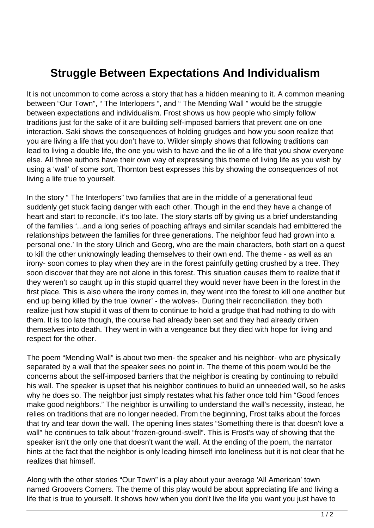## **Struggle Between Expectations And Individualism**

It is not uncommon to come across a story that has a hidden meaning to it. A common meaning between "Our Town", " The Interlopers ", and " The Mending Wall " would be the struggle between expectations and individualism. Frost shows us how people who simply follow traditions just for the sake of it are building self-imposed barriers that prevent one on one interaction. Saki shows the consequences of holding grudges and how you soon realize that you are living a life that you don't have to. Wilder simply shows that following traditions can lead to living a double life, the one you wish to have and the lie of a life that you show everyone else. All three authors have their own way of expressing this theme of living life as you wish by using a 'wall' of some sort, Thornton best expresses this by showing the consequences of not living a life true to yourself.

In the story " The Interlopers" two families that are in the middle of a generational feud suddenly get stuck facing danger with each other. Though in the end they have a change of heart and start to reconcile, it's too late. The story starts off by giving us a brief understanding of the families '...and a long series of poaching affrays and similar scandals had embittered the relationships between the families for three generations. The neighbor feud had grown into a personal one.' In the story Ulrich and Georg, who are the main characters, both start on a quest to kill the other unknowingly leading themselves to their own end. The theme - as well as an irony- soon comes to play when they are in the forest painfully getting crushed by a tree. They soon discover that they are not alone in this forest. This situation causes them to realize that if they weren't so caught up in this stupid quarrel they would never have been in the forest in the first place. This is also where the irony comes in, they went into the forest to kill one another but end up being killed by the true 'owner' - the wolves-. During their reconciliation, they both realize just how stupid it was of them to continue to hold a grudge that had nothing to do with them. It is too late though, the course had already been set and they had already driven themselves into death. They went in with a vengeance but they died with hope for living and respect for the other.

The poem "Mending Wall" is about two men- the speaker and his neighbor- who are physically separated by a wall that the speaker sees no point in. The theme of this poem would be the concerns about the self-imposed barriers that the neighbor is creating by continuing to rebuild his wall. The speaker is upset that his neighbor continues to build an unneeded wall, so he asks why he does so. The neighbor just simply restates what his father once told him "Good fences make good neighbors." The neighbor is unwilling to understand the wall's necessity, instead, he relies on traditions that are no longer needed. From the beginning, Frost talks about the forces that try and tear down the wall. The opening lines states "Something there is that doesn't love a wall" he continues to talk about "frozen-ground-swell". This is Frost's way of showing that the speaker isn't the only one that doesn't want the wall. At the ending of the poem, the narrator hints at the fact that the neighbor is only leading himself into loneliness but it is not clear that he realizes that himself.

Along with the other stories "Our Town" is a play about your average 'All American' town named Groovers Corners. The theme of this play would be about appreciating life and living a life that is true to yourself. It shows how when you don't live the life you want you just have to